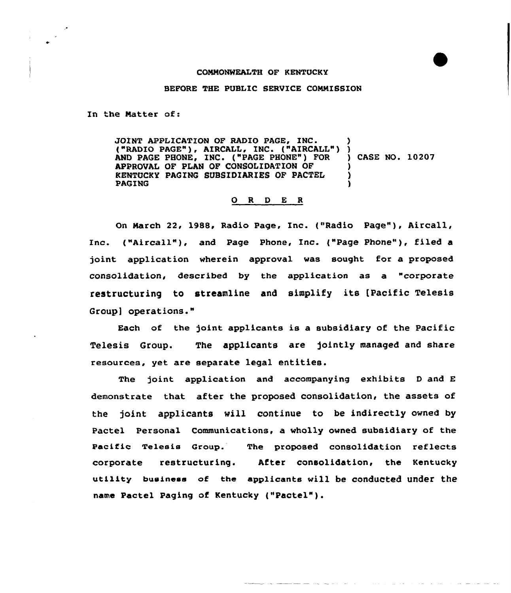## COMMONWEALTH OF KENTUCKY

## BEFORE THE PUBLIC SERVICE COMMISSION

In the Matter of:

JOINT APPLICATION OF RADIO PAGE, INC. ("RADIO PAGE"), AIRCALL, INC. ("AIRCALL") ) AND PAGE PHONE, INC. ("PAGE PHONE" ) FOR APPROVAL OF PLAN OF CONSOLIDATION OF KENTUCKY PAGING SUBSIDIARIES OF PACTEL PAGING ) ) CASE NO. 10207 ) ) )

## 0 R <sup>D</sup> E <sup>R</sup>

On March 22, 1988, Radio Page, Inc. ("Radio Page"), Aircall, Inc. ("Aircall"), and Page Phone, Inc. ("Page Phone"), filed a joint application wherein approval vas sought for a proposed consolidation, described by the application as a "corporate restructuring to streamline and simplify its [Pacific Telesis Group] operations."

Each of the joint applicants is a subsidiary of the Pacific Telesis Group. The applicants are jointly managed and share resources, yet are separate legal entities.

The joint application and accompanying exhibits <sup>D</sup> and E demonstrate that after the proposed consolidation, the assets of the joint applicants will continue to be indirectly owned by Pactel Personal Communications, a wholly owned subsidiary of the Pacific Telesis Group. The proposed consolidation reflects corporate restructuring. After consolidation, the Kentucky utility business of the applicants vill be conducted under the name pactel paging of Kentucky ("Pactel").